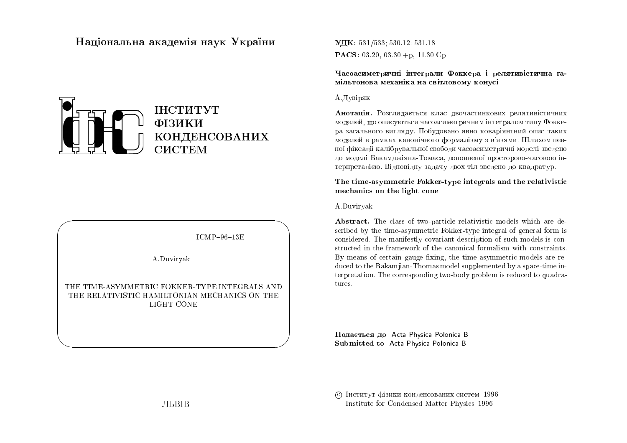# Національна академія наук України



 $ICMP-96-13E$ 

 $\bigwedge$ 

 $\bigcup$ 

A.Duviryak

 $\bigg($ 

 $\setminus$ 

THE TIME-ASYMMETRIC FOKKER-TYPE INTEGRALS ANDTHE RELATIVISTIC HAMILTONIAN MECHANICS ON THE LIGHT CONE

UDK: 531/533; 530.12: 531.18 $\mathbf{PACS:}$  03.20, 03.30.+p, 11.30.Cp

Часоасиметричні інтеґрали Фоккера і релятивістична гамільтонова механіка на світловому конусі

### А. Дувіряк

**Анотація.** Розглядається клас двочастинкових релятивістичних моделей, що описуються часоасиметричним інтеґралом типу Фоккера загального вигляду. Побудовано явно коваріянтний опис таких моделей в рамках канонічного формалізму з в'язями. Шляхом певної фіксації калібрувальної свободи часоасиметричні моделі зведено до моделі Бакамджіяна-Томаса, доповненої просторово-часовою ін-<br>D терпретацією. Відповідну задачу двох тіл зведено до квадратур.<br>'

The time-asymmetric Fokker-type integrals and the relativistic mechanics on the light cone

### A.Duviryak

Abstract. The class of two-particle relativistic models which are described by the time-asymmetric Fokker-type integral of general form is<br>considered. The manifostly corresponded consistion of such models is sep considered. The manifestly covariant description of such models is constructed in the framework of the canonical formalism with constraints.<br> $\mathbf{P}_{\text{source}}$  of exitating name for the time community models are no By means of certain gauge fixing, the time-asymmetric models are reduced to the Bakamjian-Thomas model supplemented by <sup>a</sup> space-time interpretation. The corresponding two-body problem is reduced to quadratures.

Подається до Acta Physica Polonica B<br>———————————————————— Submitted to Acta Physica Polonica <sup>B</sup>

© Інститут фізики конденсованих систем 1996 Institute for Condensed Matter Physics <sup>1996</sup>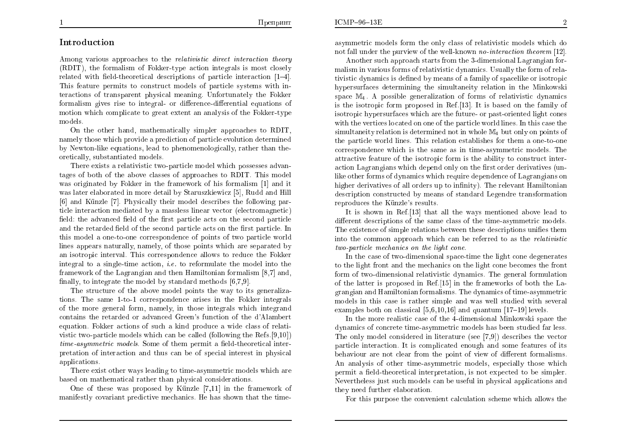## Introduction

Among various approaches to the *relativistic direct interaction theory*  (RDIT), the formalism of Fokker-type action integrals is most closely  $related$  with field-theoretical descriptions of particle interaction  $[1–4]$ . This feature permits to construct models of particle systems with interactions of transparent <sup>p</sup>hysical meaning. Unfortunately the Fokkerformalism gives rise to integral- or difference-differential equations of metion which complicate to great sytem and vise of the Ecklentum motion whic h complicate to grea<sup>t</sup> extent an analysis of the Fokker-typemodels.

On the other hand, mathematically simpler approaches to RDIT, namely those whic h provide a prediction of particle evolution determined by Newton-like equations, lead to <sup>p</sup>henomenologically, rather than theoretically, substantiated models.

There exists a relativistic two-particle model whic h possesses advantages of both of the abo ve classes of approaches to RDIT. This model was originated by Fokker in the framework of his formalism [1] and it<br>realister alaborated in mars datail by Steruszkiewicz [5]. Budd and Hill was later elaborated in more detail by Staruszkiewicz [5], Rudd and Hill [6] and Kunzle [7]. Physically their model describes the following particle interaction mediated bya massless linear vector (electromagnetic) field: the advanced field of the first particle acts on the second particle and the retarded field of the second particle acts on the first particle. In this model a one-to-one correspondence of points of two particle world lines appears naturally, namely, of those points whic h are separated by an isotropic interval. This correspondence allows to reduce the Fokkerintegral to a single-time action, *i.e.* to reformulate the model into the framework of the Lagrangian and then Hamiltonian formalism [8,7] and,<br>finally to intermete the weadel heatended wetherle [6,7,0] finally, to integrate the model by standard methods  $[6,7,9]$ .

 The structure of the above model points the way to its generaliza- tions. The same 1-to-1 correspondence arises in the Fokker integrals of the more genera<sup>l</sup> form, namely, in those integrals whic h integrand contains the retarded or advanced Green's function of the d'Alambert equation.Fokker actions of sucha kind produce a wide class of relati- vistic two-particle models whic h can be called (following the Refs.[9,10]) time-asymmetric models. Some of them permit a field-theoretical inter-<br>protetion of interestion and thus san he of angoinl interest in physical pretation of interaction and thus can be of special interest in <sup>p</sup>hysical applications.

There exist other ways leading to time-asymmetric models whic h are based on mathematical rather than <sup>p</sup>hysical considerations.

One of these was proposed by Künzle [7,11] in the framework of manifestly covariant predictive mechanics. He has shown that the timeasymmetric models form the only class of relativistic models which do<br>not fell under the numiers of the well known ne interestion theorem [19] not fall under the purview of the well-known no-interaction theorem [12].<br>Another such approach starts from the 2 dimensional Lagrangian for

Another such approach starts from the 3-dimensional Lagrangian for-<br>is in unique forms of polativistic dynamics. Hought the form of pola malism in various forms of relativistic dynamics. Usually the form of rela-<br>tiniatie dependies is defined by means of a family of speedlike an isotronic tivistic dynamics is defined by means of a family of spacelike or isotropic hypersurfaces determining the simultaneit y relation in the Minkowski space  $\mathbb{M}_4$ . A possible generalization of forms of relativistic dynamics is the isotropic form proposed in Ref.[13]. It is based on the family of  $\frac{1}{2}$ isotropic hypersurfaces which are the future- or past-oriented light cones with the vertices located on one of the particle world lines. In this case the  $\mathbb{S}$ simultaneity relation is determined not in whole  $\mathbb{M}_4$  but only on points of the particle world lines. This relation establishes for them a one-to-one correspondence whic h is the same as in time-asymmetric models. The attractive feature of the isotropic form is the ability to construct inter-<br>extinct construct high degree ability of the fact and a devinatives (in action Lagrangians which depend only on the first order derivatives (unlike other forms of dynamics whic h require dependence of Lagrangians on higher derivatives of all orders up to infinity). The relevant Hamiltonian description constructed by means of standard Legendre transformation reproduces the Künzle's results.

It is shown in Ref.[13] that all the ways mentioned abo ve lead to  $\!$  different descriptions of the same class of the time-asymmetric models. The existence of simple relations between these descriptions unifies them into the common approach which can be referred to as the *relativistic* two-particle mechanics on the light cone.

In the case of two-dimensional space-time the light cone degenerates to the light front and the mechanics on the light cone becomes the front form of two-dimensional relativistic dynamics. The general formulation<br>of the letter is prepased in Ref [15] in the frameworks of heth the La of the latter is proposed in Ref.[15] in the frameworks of both the Lagrangian and Hamiltonian formalisms. The dynamics of time-asymmetric models in this case is rather simple and was well studied with several examples both on classical  $[5,6,10,16]$  and quantum  $[17-19]$  levels.

In the more realistic case of the 4-dimensional Minkowski space the dynamics of concrete time-asymmetric models has been studied far less. The only model considered in literature (see [7,9]) describes the vector particle interaction. It is complicated enoug<sup>h</sup> and some features of its behaviour are not clear from the point of view of different formalisms. An analysis of other time-asymmetric models, especially those whic h $\epsilon$  permit a field-theoretical interpretation, is not expected to be simpler. Nevertheless just such models can be useful in <sup>p</sup>hysical applications and they need further elaboration.

For this purpose the convenient calculation scheme whic h allows the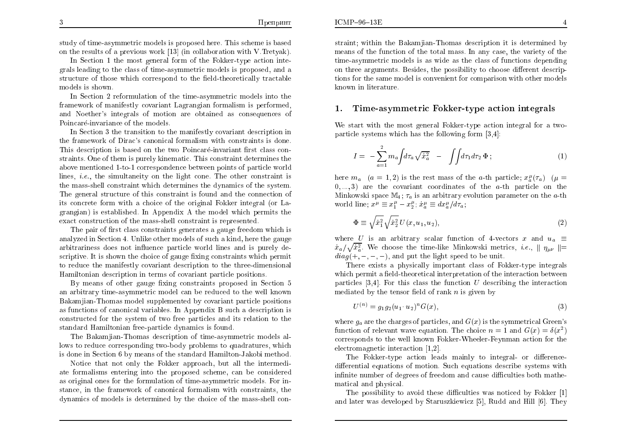$ICMP-96-13E$ 

study of time-asymmetric models is proposed here. This scheme is based on the results of a previous work  $\left[13\right]$  (in collaboration with V. Tretyak).

In Section 1 the most general form of the Fokker-type action integrals leading to the class of time-asymmetric models is proposed, anda $\operatorname{structure}$  of those which correspond to the field-theoretically tractable models is shown.

In Section <sup>2</sup> reformulation of the time-asymmetric models into the framework of manifestly covariant Lagrangian formalism is performed,<br>and Nesthar's integrals of metian are abtained as consequences of and Noether's integrals of motion are obtained as consequences of Poincaré-invariance of the models.

 In Section <sup>3</sup> the transition to the manifestly co variant description in the framework of Dirac's canonical formalism with constraints is done.<br>This description is based on the true Poinceré invenient first class sen-This description is based on the two Poincaré-invariant first class constraints. One of them is purely kinematic. This constraint determines the<br>ske serventioned 1 to 1 conserved was het seen nainta of nantialassed above mentioned 1-to-1 correspondence bet ween points of particle world lines, i.e., the simultaneit y on the light cone. The other constraint is the mass-shell constraint whic h determines the dynamics of the system. The general structure of this constraint is found and the connection of its concrete form with a choice of the original Fokker integral (or Lagrangian) is established. In Appendix A the model whic h permits the exact construction of the mass-shell constraint is represented.

The pair of first class constraints generates a gauge freedom which is<br>hered in Saction 4. Unlike then madels of such a kind, here the secure analyzed in Section 4. Unlike other models of suc ha kind, here the gauge arbitrariness does not influence particle world lines and is purely de- $\text{script time}$ . It is shown the choice of gauge fixing constraints which permit to reduce the manifestly covariant description to the three-dimensional Hamiltonian description in terms of co variant particle positions.

By means of other gauge fixing constraints proposed in Section 5 an arbitrary time-asymmetric model can be reduced to the well knownBakamjian-Thomas model supplemented by covariant particle positions as functions of canonical variables. In Appendix B suc ha description is constructed for the system of two free particles and its relation to the standard Hamiltonian free-particle dynamics is found.

The Bakamjian-Thomas description of time-asymmetric models allows to reduce corresponding two-body problems to quadratures, whic his done in Section <sup>6</sup> <sup>b</sup> y means of the standard Hamilton-Jakobi method.

Notice that not only the Fokker approach, but all the intermediate formalisms entering into the proposed scheme, can be considered as original ones for the formulation of time-asymmetric models. For instance, in the framework of canonical formalism with constraints, the dynamics of models is determined by the choice of the mass-shell con-

straint; within the Bakamjian-Thomas description it is determined by means of the function of the total mass. In an y case, the variety of the time-asymmetric models is as wide as the class of functions dependingon three arguments. Besides, the possibility to choose different descriptions for the same model is convenient for comparison with other models known in literature.

#### 1. $\blacksquare$  Time-asymmetric Fokker-type action integrals

We start with the most genera<sup>l</sup> Fokker-type action integral for a twoparticle systems whic h has the following form [3,4]:

$$
I = -\sum_{a=1}^{2} m_a \int d\tau_a \sqrt{\dot{x}_a^2} - \int \int d\tau_1 d\tau_2 \, \Phi ; \qquad (1)
$$

here  $m_a$  ( $a = 1, 2$ ) is the rest mass of the a-th particle;  $x_a^{\mu}(\tau_a)$  ( $\mu =$  $(0, \ldots, 3)$  are the covariant coordinates of the  $a$ -th particle on the Minkowski space  $M_4$ ;  $\tau_a$  is an arbitrary evolution parameter on the *a*-th world line;  $x^{\mu} \equiv x_1^{\mu} - x_2^{\mu}$ ;  $\dot{x}_a^{\mu} \equiv dx_a^{\mu}/d\tau_a$ ;

$$
\Phi \equiv \sqrt{\dot{x}_1^2} \sqrt{\dot{x}_2^2} U(x, u_1, u_2),\tag{2}
$$

where U is an arbitrary scalar function of 4-vectors x and  $u_a \equiv$  $\dot{x}_a/\sqrt{\dot{x}_a^2}$ . We choose the time-like Minkowski metrics, *i.e.*,  $\parallel \eta_{\mu\nu} \parallel =$  $diag(+, -, -, -)$ , and put the light speed to be unit.

There exists a <sup>p</sup>hysically important class of Fokker-type integrals which permit a field-theoretical interpretation of the interaction between particles  $[3,4]$ . For this class the function U describing the interaction mediated by the tensor field of rank  $n$  is given by

$$
U^{(n)} = g_1 g_2 (u_1 \cdot u_2)^n G(x), \tag{3}
$$

where  $g_a$  are the charges of particles, and  $G(x)$  is the symmetrical Green's function of relevant wave equation. The choice  $n = 1$  and  $G(x) = \delta(x^2)$  corresponds to the well knownFokker-Wheeler-Feynman action for the  $\text{electromagnetic interaction [1,2]}.$ 

The Fokker-type action leads mainly to integral- or differencedifferential equations of motion. Such equations describe systems with infinite number of degrees of freedom and cause difficulties both mathe-<br>matical and physical matical and <sup>p</sup>hysical.

The possibility to avoid these difficulties was noticed by Fokker [1] and later was developedby Staruszkiewicz [5], Rudd and Hill [6]. They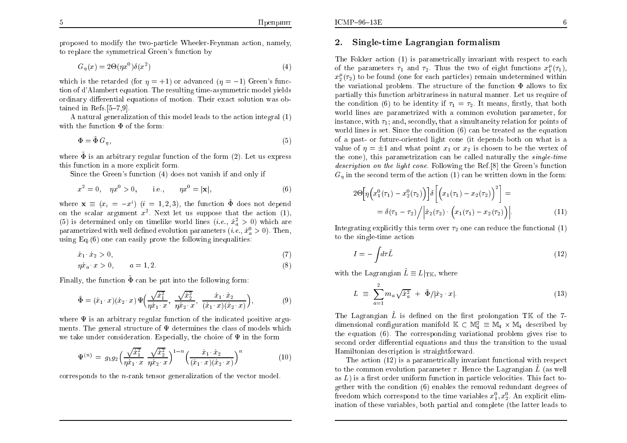proposed to modify the two-particle Wheeler-Feynman action, namely, to replace the symmetrical Green's function by

$$
G_{\eta}(x) = 2\Theta(\eta x^{0})\delta(x^{2})
$$
\n(4)

which is the retarded (for  $\eta = +1$ ) or advanced  $(\eta = -1)$  Green's func-<br>tion of d'Alembert constitue. The resulting time communities and delayed tion of d'Alambert equation. The resulting time-asymmetric model <sup>y</sup>ields ordinary differential equations of motion. Their exact solution was obtained in Refs.[5-7,9].

A natural generalization of this model leads to the action integral  $(1)$ with the function  $\Phi$  of the form:

$$
\Phi = \tilde{\Phi} \, G_{\eta},\tag{5}
$$

where  $\tilde{\Phi}$  is an arbitrary regular function of the form (2). Let us express<br>this function in a mana symbolic form this function in a more explicit form.

Since the Green's function (4) does not vanish if and only if

$$
x^2 = 0, \quad \eta x^0 > 0, \qquad \text{i.e.,} \qquad \eta x^0 = |\mathbf{x}|,\tag{6}
$$

where  $\mathbf{x} \equiv (x_i = -x^i)$   $(i = 1, 2, 3)$ , the function  $\tilde{\Phi}$  does not depend on the scalar argument  $x^2$ . Next let us suppose that the action (1), (5) is determined only on timelike world lines  $(i.e., \dot{x}_a^2 > 0)$  which are parametrized with well defined evolution parameters  $(i.e., \dot{x}_a^0 > 0)$ . Then, using Eq. $(6)$  one can easily prove the following inequalities:

$$
\dot{x}_1 \cdot \dot{x}_2 > 0,\tag{7}
$$

$$
\eta \dot{x}_a \cdot x > 0, \qquad a = 1, 2. \tag{8}
$$

Finally, the function  $\tilde{\Phi}$  can be put into the following form:

$$
\tilde{\Phi} = (\dot{x}_1 \cdot x)(\dot{x}_2 \cdot x) \Psi \left( \frac{\sqrt{\dot{x}_1^2}}{\eta \dot{x}_1 \cdot x}, \frac{\sqrt{\dot{x}_2^2}}{\eta \dot{x}_2 \cdot x}, \frac{\dot{x}_1 \cdot \dot{x}_2}{(\dot{x}_1 \cdot x)(\dot{x}_2 \cdot x)} \right),
$$
(9)

where  $\Psi$  is an arbitrary regular function of the indicated positive argu-<br>were also shown as indicated with the indicated positive arguments. The general structure of  $\Psi$  determines the class of models which<br>he take under sensitive Fenecially the chains of  $\Psi$  in the fermulation we take under consideration. Especially, the choice of  $\Psi$  in the form

$$
\Psi^{(n)} = g_1 g_2 \left( \frac{\sqrt{\dot{x}_1^2}}{\eta \dot{x}_1 \cdot x} \frac{\sqrt{\dot{x}_2^2}}{\eta \dot{x}_2 \cdot x} \right)^{1-n} \left( \frac{\dot{x}_1 \cdot \dot{x}_2}{(\dot{x}_1 \cdot x)(\dot{x}_2 \cdot x)} \right)^n \tag{10}
$$

corresponds to the n-rank tensor generalization of the vector model.

#### 2.Single-time Lagrangian formalism

The Fokker action (1) is parametrically invariant with respect to each of the parameters  $\tau_1$  and  $\tau_2$ . Thus the two of eight functions  $x_1^{\mu}(\tau_1)$ ,  $x_2^{\mu}(\tau_2)$  to be found (one for each particles) remain undetermined within the variational problem. The structure of the function  $\Phi$  allows to fix partially this function arbitrariness in natural manner. Let us require of the condition (6) to be identity if  $\tau_1 = \tau_2$ . It means, firstly, that both world lines are parametrized with a common evolution parameter, for instance, with  $\tau_1$ ; and, secondly, that a simultaneity relation for points of world lines is set. Since the condition (6) can be treated as the equation ofa past- or future-oriented light cone (it depends both on what is avalue of  $\eta = \pm 1$  and what point  $x_1$  or  $x_2$  is chosen to be the vertex of the cone), this parametrization can be called naturally the *single-time* description on the light cone. Following the Ref.[8] the Green's function  $G_{\eta}$  in the second term of the action (1) can be written down in the form:

$$
2\Theta\Big[\eta\Big(x_1^0(\tau_1) - x_2^0(\tau_2)\Big)\Big]\delta\Big[\Big(x_1(\tau_1) - x_2(\tau_2)\Big)^2\Big] = = \delta(\tau_1 - \tau_2)/\Big|\dot{x}_2(\tau_2) \cdot \Big(x_1(\tau_1) - x_2(\tau_2)\Big)\Big|.
$$
 (11)

Integrating explicitly this term over  $\tau_2$  one can reduce the functional (1) to the single-time action

$$
= -\int d\tau \tilde{L} \tag{12}
$$

with the Lagrangian  $\tilde{L}\equiv L|_{\rm TK}$ , where

I

$$
L \equiv \sum_{a=1}^{2} m_a \sqrt{\dot{x}_a^2} + \tilde{\Phi}/|\dot{x}_2 \cdot x|.
$$
 (13)

The Lagrangian  $\tilde{L}$  is defined on the first prolongation TK of the 7dimensional configuration manifold  $\mathbb{K} \subset \mathbb{M}_4^2 \equiv \mathbb{M}_4 \times \mathbb{M}_4$  described by the equation (6). The corresponding variational problem gives rise to<br>correct and undifferential equations and thus the transition to the usual second order differential equations and thus the transition to the usual Hamiltonian description is straightforward.

The action (12) is a parametrically invariant functional with respect to the common evolution parameter  $\tau$ . Hence the Lagrangian  $\tilde{L}$  (as well as  $L$ ) is a first order uniform function in particle velocities. This fact to-<br>satisfact the condition  $\mathcal{L}$ ) analyzes the remain redundant degrees of gether with the condition (6) enables the removal redundant degrees of freedom which correspond to the time variables  $x_1^0, x_2^0$ . An explicit elim-<br>institute of these contribute heth neutral and convoltts (the latter landed to ination of these variables, both partial and complete (the latter leads to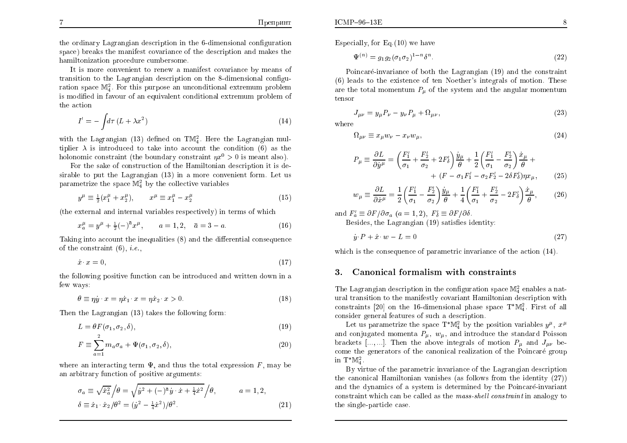the ordinary Lagrangian description in the 6-dimensional conguration space) breaks the manifest covariance of the description and makes the hamiltonization procedure cumbersome.

It is more convenient to renew a manifest covariance by means of transition to the Lagrangian description on the 8-dimensional conguration space  $\mathbb{M}^2$ . For this purpose an unconditional extremum problem is modied in fa vour of an equivalent conditional extremum problem of the action

$$
I' = -\int d\tau \,(L + \lambda x^2) \tag{14}
$$

with the Lagrangian (13) defined on  $TM_4^2$ . Here the Lagrangian multiplier  $\lambda$  is introduced to take into account the condition (6) as the holonomic constraint (the boundary constraint  $\eta x^0 > 0$  is meant also).

For the sake of construction of the Hamiltonian description it is desirable to put the Lagrangian (13) in a more convenient form. Let usparametrize the space  $\mathbb{M}^2_4$  by the collective variables

$$
y^{\mu} \equiv \frac{1}{2}(x_1^{\mu} + x_2^{\mu}), \qquad x^{\mu} \equiv x_1^{\mu} - x_2^{\mu}
$$
 (15)

(the external and internal variables respectively) in terms of whic h

$$
x_a^{\mu} = y^{\mu} + \frac{1}{2}(-)^{\bar{a}}x^{\mu}, \qquad a = 1, 2, \quad \bar{a} = 3 - a. \tag{16}
$$

Taking into account the inequalities  $(8)$  and the differential consequence of the constraint  $(6)$ , *i.e.*,

$$
\dot{x} \cdot x = 0,\tag{17}
$$

the following positive function can be introduced and written down in afew ways:

$$
\theta \equiv \eta \dot{y} \cdot x = \eta \dot{x}_1 \cdot x = \eta \dot{x}_2 \cdot x > 0. \tag{18}
$$

Then the Lagrangian (13) takes the following form:

$$
L = \theta F(\sigma_1, \sigma_2, \delta),\tag{19}
$$

$$
F \equiv \sum_{a=1}^{2} m_a \sigma_a + \Psi(\sigma_1, \sigma_2, \delta), \qquad (20)
$$

where an interacting term  $\Psi$ , and thus the total expression  $F$ , may be an arbitrary function of positive arguments:

$$
\sigma_a \equiv \sqrt{\dot{x}_a^2} / \theta = \sqrt{\dot{y}^2 + (-)^{\bar{a}} \dot{y} \cdot \dot{x} + \frac{1}{4} \dot{x}^2} / \theta, \qquad a = 1, 2,
$$
  

$$
\delta \equiv \dot{x}_1 \cdot \dot{x}_2 / \theta^2 = (\dot{y}^2 - \frac{1}{4} \dot{x}^2) / \theta^2.
$$
 (21)

Especially, for Eq.(10) we have

$$
\Psi^{(n)} = g_1 g_2 (\sigma_1 \sigma_2)^{1-n} \delta^n. \tag{22}
$$

Poincaré-invariance of both the Lagrangian (19) and the constraint (6) leads to the existence of ten Noether's integrals of motion. These are the total momentum  $P_{\mu}$  of the system and the angular momentum tensor

$$
J_{\mu\nu} = y_{\mu} P_{\nu} - y_{\nu} P_{\mu} + \Omega_{\mu\nu},\tag{23}
$$

where

$$
\Omega_{\mu\nu} \equiv x_{\mu} w_{\nu} - x_{\nu} w_{\mu},\tag{24}
$$

$$
P_{\mu} \equiv \frac{\partial L}{\partial \dot{y}^{\mu}} = \left(\frac{F_1'}{\sigma_1} + \frac{F_2'}{\sigma_2} + 2F_3'\right) \frac{\dot{y}_{\mu}}{\theta} + \frac{1}{2} \left(\frac{F_1'}{\sigma_1} - \frac{F_2'}{\sigma_2}\right) \frac{\dot{x}_{\mu}}{\theta} + \\qquad \qquad + (F - \sigma_1 F_1' - \sigma_2 F_2' - 2\delta F_3') \eta x_{\mu}, \tag{25}
$$

$$
w_{\mu} \equiv \frac{\partial L}{\partial \dot{x}^{\mu}} = \frac{1}{2} \left( \frac{F_1'}{\sigma_1} - \frac{F_2'}{\sigma_2} \right) \frac{\dot{y}_{\mu}}{\theta} + \frac{1}{4} \left( \frac{F_1'}{\sigma_1} + \frac{F_2'}{\sigma_2} - 2F_2' \right) \frac{\dot{x}_{\mu}}{\theta},\tag{26}
$$

and  $F_a' \equiv \partial F / \partial \sigma_a$   $(a = 1, 2), F_b' \equiv \partial F / \partial \delta$ .

 $\rm{Besides,~the~Lagrangian~(19)~satisfies~identity:}$ 

$$
\dot{y} \cdot P + \dot{x} \cdot w - L = 0 \tag{27}
$$

which is the consequence of parametric invariance of the action  $(14)$ .

#### 3.Canonical formalism with constraints

The Lagrangian description in the configuration space  $\mathbb{M}^2_4$  enables a natural transition to the manifestly co variant Hamiltonian description with constraints [20] on the 16-dimensional phase space  $T^*\mathbb{M}_4^2$ . First of all consider general features of such a description.

Let us parametrize the space  $T^*\mathbb{M}^2_4$  by the position variables  $y^{\mu}$ ,  $x^{\mu}$ and conjugated momenta  $P_{\mu}, w_{\mu}$ , and introduce the standard Poisson brackets [..., ...]. Then the above integrals of motion  $P_{\mu}$  and  $J_{\mu\nu}$  become the generators of the canonical realization of the Poincaré group in  $T^*\mathbb{M}_4^2$ 

By virtue of the parametric invariance of the Lagrangian description the canonical Hamiltonian vanishes (as follows from the identity  $(27)$ ) and the dynamics of a system is determined by the Poincaré-invariant<br>constraint which can be solled as the mass shall constraint in anglesy to constraint which can be called as the *mass-shell constraint* in analogy to the single-particle case.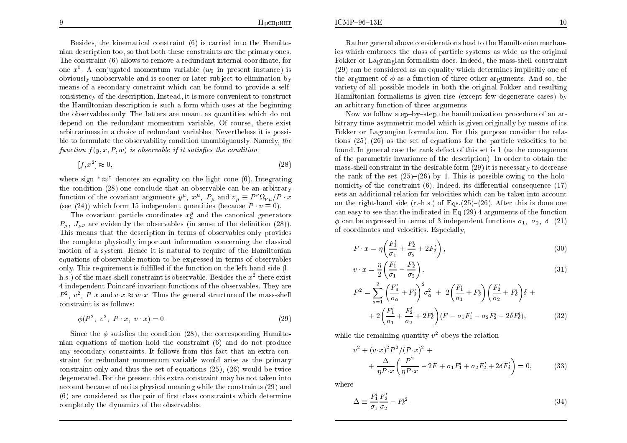Besides, the kinematical constraint (6) is carried into the Hamiltonian description too, so that both these constraints are the primary ones.<br>———————————————————— The constraint (6) allows to remo ve <sup>a</sup> redundant internal coordinate, for one  $x^0$ . A conjugated momentum variable  $(w_0$  in present instance) is obviously unobservable and is sooner or later subject to elimination by means of a secondary constraint whic h can be found to provide a selfconsistency of the description. Instead, it is more convenient to construct the Hamiltonian description is such a form which uses at the beginning<br>the chaeruphles only. The latters are meant as suchtities which de not the observables only. The latters are meant as quantities whic h do not depend on the redundant momentum variable. Of course, there exist arbitrariness in a choice of redundant variables. Nevertheless it is possible to formulate the observability condition unambiguously. Namely, the function  $f(y, x, P, w)$  is observable if it satisfies the condition:

$$
[f, x^2] \approx 0,\tag{28}
$$

where sign " $\approx$ " denotes an equality on the light cone (6). Integrating the condition (28) one conclude that an observable can be an arbitrary function of the covariant arguments  $y^{\mu}$ ,  $x^{\mu}$ ,  $P_{\mu}$  and  $v_{\mu} \equiv P^{\nu} \Omega_{\nu \mu} / P \cdot x$ (see (24)) which form 15 independent quantities (because  $P \cdot v \equiv 0$ ).

The covariant particle coordinates  $x_i^{\mu}$  and the canonical generators  $P_{\mu}$ ,  $J_{\mu\nu}$  are evidently the observables (in sense of the definition (28)). This means that the description in terms of observables only provides the complete <sup>p</sup>hysically important information concerning the classical motion of a system. Hence it is natural to require of the Hamiltonian equations of observable motion to be expressed in terms of observables only. This requirement is fulfilled if the function on the left-hand side (l.h.s.) of the mass-shell constraint is observable. Besides the  $x^2$  there exist 4 independent Poincaré-invariant functions of the observables. They are  $P^2$ ,  $v^2$ ,  $P \cdot x$  and  $v \cdot x \approx w \cdot x$ . Thus the general structure of the mass-shell constraint is as follows:

$$
\phi(P^2, v^2, P \cdot x, v \cdot x) = 0.
$$
\n(29)

Since the  $\phi$  satisfies the condition (28), the corresponding Hamiltonian equations of motion hold the constraint (6) and do not produce any secondary constraints. It follows from this fact that an extra constraint for redundant momentum variable would arise as the primary constraint only and thus the set of equations (25), (26) would be twice  $\alpha$  degenerated. For the present this extra constraint may be not taken into account because of no its <sup>p</sup>hysical meaning while the constraints (29) and $(6)$  are considered as the pair of first class constraints which determine completely the dynamics of the observables.

Rather genera<sup>l</sup> above considerations lead to the Hamiltonian mechan ics which embraces the class of particle systems as wide as the original Fokker or Lagrangian formalism does. Indeed, the mass-shell constraint (29) can be considered as an equalit y whic h determines implicitly one of the argument of  $\phi$  as a function of three other arguments. And so, the variety of all possible models in both the original Fokker and resulting Hamiltonian formalisms is <sup>g</sup>iven rise (except few degenerate cases) byan arbitrary function of three arguments.

Now we follow step–by–step the hamiltonization procedure of an ar- bitrary time-asymmetric model whic h is <sup>g</sup>iven originally by means of its Fokker or Lagrangian formulation. For this purpose consider the relations  $(25)-(26)$  as the set of equations for the particle velocities to be found. In genera<sup>l</sup> case the rank defect of this set is <sup>1</sup> (as the consequence of the parametric invariance of the description). In order to obtain the mass-shell constraint in the desirable form  $(29)$  it is necessary to decrease the rank of the set  $(25)-(26)$  by 1. This is possible owing to the holonomicity of the constraint  $(6)$ . Indeed, its differential consequence  $(17)$ sets an additional relation for velocities which can be taken into account on the right-hand side  $(r-h.s.)$  of Eqs. $(25)-(26)$ . After this is done one can easy to see that the indicated in Eq.(29) <sup>4</sup> arguments of the function  $\phi$  can be expressed in terms of 3 independent functions  $\sigma_1$ ,  $\sigma_2$ ,  $\delta$  (21)  $\sigma$  coordinates and velocities. Especially,

$$
P \cdot x = \eta \left( \frac{F_1'}{\sigma_1} + \frac{F_2'}{\sigma_2} + 2F_3' \right),\tag{30}
$$

$$
v \cdot x = \frac{\eta}{2} \left( \frac{F_1'}{\sigma_1} - \frac{F_2'}{\sigma_2} \right),\tag{31}
$$

$$
P^{2} = \sum_{a=1}^{2} \left( \frac{F'_{a}}{\sigma_{a}} + F'_{\delta} \right)^{2} \sigma_{a}^{2} + 2 \left( \frac{F'_{1}}{\sigma_{1}} + F'_{\delta} \right) \left( \frac{F'_{2}}{\sigma_{2}} + F'_{\delta} \right) \delta +
$$
  
+ 2 \left( \frac{F'\_{1}}{\sigma\_{1}} + \frac{F'\_{2}}{\sigma\_{2}} + 2F'\_{\delta} \right) (F - \sigma\_{1}F'\_{1} - \sigma\_{2}F'\_{2} - 2\delta F'\_{\delta}), \qquad (32)

while the remaining quantity  $v^2$  obeys the relation

$$
v^{2} + (v \cdot x)^{2} P^{2} / (P \cdot x)^{2} +
$$
  
+ 
$$
\frac{\Delta}{\eta P \cdot x} \left( \frac{P^{2}}{\eta P \cdot x} - 2F + \sigma_{1} F'_{1} + \sigma_{2} F'_{2} + 2\delta F'_{\delta} \right) = 0,
$$
 (33)

where

$$
\Delta \equiv \frac{F_1'}{\sigma_1} \frac{F_2'}{\sigma_2} - F_\delta'^2. \tag{34}
$$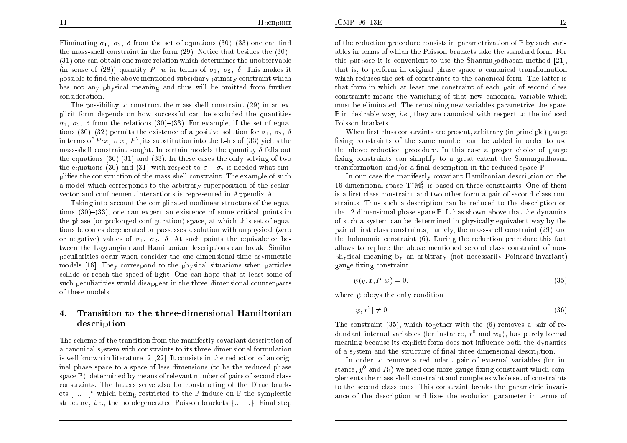Eliminating  $\sigma_1$ ,  $\sigma_2$ ,  $\delta$  from the set of equations (30)–(33) one can find<br>the mass shall constraint in the farm (30). Notice that hesides the (30) the mass-shell constraint in the form  $(29)$ . Notice that besides the  $(30)$ - $(21)$  and some obtain and mass relation which determines the unchanged (31) one can obtain one more relation whic h determines the unobservable (in sense of (28)) quantity  $P \cdot w$  in terms of  $\sigma_1$ ,  $\sigma_2$ ,  $\delta$ . This makes it possible to find the above mentioned subsidiary primary constraint which has not any <sup>p</sup>hysical meaning and thus will be omitted from further consideration.

The possibilit y to construct the mass-shell constraint (29) in an explicit form depends on how successful can be excluded the quantities  $\sigma_1$ ,  $\sigma_2$ ,  $\delta$  from the relations (30)–(33). For example, if the set of equa-<br>tions (20) (22) normits the systems of a positive solution for  $z = \delta$ tions (30)–(32) permits the existence of a positive solution for  $\sigma_1$ ,  $\sigma_2$ ,  $\delta$ in terms of  $P(x, v, x, P^2)$ , its substitution into the l.-h.s of (33) yields the mass-shell constraint sought. In certain models the quantity  $\delta$  falls out the equations (30),(31) and (33). In these cases the only solving of two the equations (30) and (31) with respect to  $\sigma_1$ ,  $\sigma_2$  is needed what simplies the construction of the mass-shell constraint. The example of suc h a model whic h corresponds to the arbitrary superposition of the scalar, vector and confinement interactions is represented in Appendix A.

Taking into account the complicated nonlinear structure of the equations  $(30)$ – $(33)$ , one can expect an existence of some critical points in the phase (or prolonged configuration) space, at which this set of equations becomes degenerated or possesses a solution with unphysical (zero or negative) values of  $\sigma_1$ ,  $\sigma_2$ ,  $\delta$ . At such points the equivalence be tween the Lagrangian and Hamiltonian descriptions can break. Similar peculiarities occur when consider the one-dimensional time-asymmetric models [16]. They correspond to the <sup>p</sup>hysical situations when particles collide or reac h the speed of light. One can hope that at least some of such peculiarities would disappear in the three-dimensional counterparts of these models.

#### 4.Transition to the three-dimensional Hamiltonian description

The scheme of the transition from the manifestly covariant description of a canonical system with constraints to its three-dimensional formulation is well known in literature [21,22]. It consists in the reduction of an original phase space to a space of less dimensions (to be the reduced phase  $space \mathbb{P})$ , determined by means of relevant number of pairs of second class constraints. The latters serve also for constructing of the Dirac brackets  $[\,...,...]^*$  which being restricted to the  $\mathbb P$  induce on  $\mathbb P$  the symplectic structure, *i.e.*, the nondegenerated Poisson brackets  ${..., \dots}$ . Final step

of the reduction procedure consists in parametrization of  $\mathbb P$  by such vari- ables in terms of whic h the Poisson brac kets take the standard form. For this purpose it is convenient to use the Shanmugadhasan method [21], that is, to perform in original <sup>p</sup>hase space a canonical transformation which reduces the set of constraints to the canonical form. The latter is that form in which at least one constraint of each pair of second class constraints means the vanishing of that new canonical variable which must be eliminated. The remaining new variables parametrize the space  $\mathbb P$  in desirable way, *i.e.*, they are canonical with respect to the induced Poisson brac kets.

 $When first class constraints are present, arbitrary (in principle) gauge$ xing constraints of the same number can be added in order to use the above reduction procedure. In this case a proper choice of gauge xing constraints can simplify to a grea<sup>t</sup> extent the Sanmugadhasan $\text{transformation and/or a final description in the reduced space }\mathbb{P}.$ 

 In our case the manifestly co variant Hamiltonian description on the 16-dimensional space  $T^*M_4^2$  is based on three constraints. One of them is a first class constraint and two other form a pair of second class con- straints. Thus sucha description can be reduced to the description on the 12-dimensional phase space  $\mathbb P$ . It has shown above that the dynamics of such a system can be determined in physically equivalent way by the<br>nain of first class constraints, namely the mass shall constraint (20) and  $pair$  of first class constraints, namely, the mass-shell constraint  $(29)$  and the holonomic constraint (6). During the reduction procedure this fact allows to replace the abo ve mentioned second class constraint of nonphysical meaning by an arbitrary (not necessarily Poincaré-invariant) gauge fixing constraint

$$
\psi(y, x, P, w) = 0,\tag{35}
$$

where  $\psi$  obeys the only condition

$$
[\psi, x^2] \neq 0. \tag{36}
$$

The constraint (35), which together with the (6) removes a pair of redundant internal variables (for instance,  $x^0$  and  $w_0$ ), has purely formal meaning because its explicit form does not influence both the dynamics<br>of a surface and the stuncture of fixed three dimensional description of a system and the structure of final three-dimensional description.<br>La sador to same a secondary pair of external existing (for

In order to remove a redundant pair of external variables (for instance,  $y^0$  and  $P_0$ ) we need one more gauge fixing constraint which com plements the mass-shell constraint and completes whole set of constraints to the second class ones. This constraint breaks the parametric in variance of the description and fixes the evolution parameter in terms of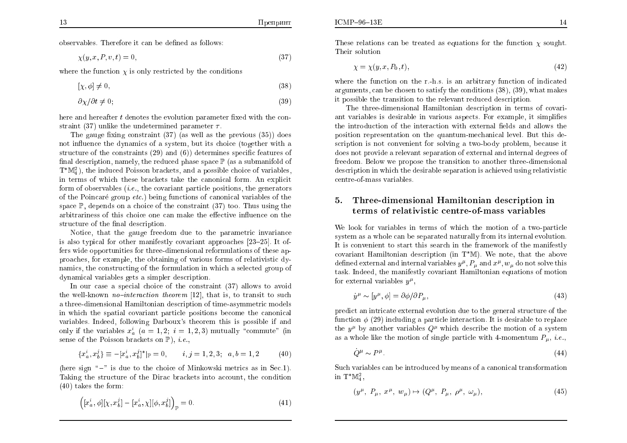observables. Therefore it can be dened as follows:

$$
\chi(y, x, P, v, t) = 0,\tag{37}
$$

where the function  $\chi$  is only restricted by the conditions

$$
[\chi, \phi] \neq 0,\tag{38}
$$

$$
\partial \chi / \partial t \neq 0; \tag{39}
$$

here and hereafter  $t$  denotes the evolution parameter fixed with the constraint (37) unlike the undetermined parameter  $\tau$ .

The gauge fixing constraint  $(37)$  (as well as the previous  $(35)$ ) does not in
uence the dynamics of a system, but its choice (together witha structure of the constraints (29) and (6)) determines specic features of final description, namely, the reduced phase space  $\mathbb{P}$  (as a submanifold of  $T^*\mathbb{M}_{4}^2$ , the induced Poisson brackets, and a possible choice of variables, in terms of whic h these brac kets take the canonical form. An explicit form of observables  $(i.e.,$  the covariant particle positions, the generators of the Peirscape gram at a) being functions of experience unichles of the of the Poincaré group  $etc.$ ) being functions of canonical variables of the  $space \mathbb{P}, depends on a choice of the constraint (37) too. Thus using the$ arbitrariness of this choice one can make the effective influence on the  $structure$  of the final description.

Notice, that the gauge freedom due to the parametric invariance is also typical for other manifestly covariant approaches  $[23–25]$ . It offers wide opportunities for three-dimensional reformulations of these approaches, for example, the obtaining of various forms of relativistic dynamics, the constructing of the formulation in whic ha selected group of dynamical variables gets a simpler description.

 In our case a special choice of the constraint (37) allows to avoidthe well-known *no-interaction theorem* [12], that is, to transit to such<br>these dimensional Hamiltonian description of time communities models a three-dimensional Hamiltonian description of time-asymmetric models in whic h the spatial co variant particle positions become the canonical variables. Indeed, following Darboux's theorem this is possible if and<br>rule: if the prichles  $\vec{u}$  (c. 1.2.3.1.2.3) maturally "commute" (in only if the variables  $x_a^i$   $(a = 1, 2; i = 1, 2, 3)$  mutually "commute" (in sense of the Poisson brackets on  $\mathbb{P}$ ), *i.e.*,

$$
\{x_a^i, x_b^j\} \equiv -[x_a^i, x_b^j]^*|_{\mathbb{P}} = 0, \qquad i, j = 1, 2, 3; \quad a, b = 1, 2 \tag{40}
$$

(here sign  $\ {\rm ''-}$ " is due to the choice of Minkowski metrics as in Sec.1). Taking the structure of the Dirac brac kets into account, the condition(40) takes the form:

$$
\left( [x_a^i, \phi][\chi, x_b^j] - [x_a^i, \chi][\phi, x_b^j] \right)_{\mathbb{P}} = 0.
$$
\n(41)

These relations can be treated as equations for the function  $\chi$  sought. Their solution

$$
\chi = \chi(y, x, P_0, t),\tag{42}
$$

where the function on the r.-h.s. is an arbitrary function of indicated arguments, can be chosen to satisfy the conditions (38), (39), what makes it possible the transition to the relevant reduced description.

The three-dimensional Hamiltonian description in terms of covariant variables is desirable in various aspects. For example, it simplifies the introduction of the interaction with external fields and allows the position representation on the quantum-mechanical level. But this description is not con venient for solvinga two-body problem, because it does not providea relevant separation of external and internal degrees of freedom. Below we propose the transition to another three-dimensional description in whic h the desirable separation is achieved using relativistic centre-of-massvariables.

#### 5. Three-dimensional Hamiltonian description in terms of relativistic centre-of-mass variables

We look for variables in terms of whic h the motion of a two-particle system as a whole can be separated naturally from its internal evolution.<br>It is associated to start this second in the framework of the manifosthe It is convenient to start this searc h in the framework of the manifestly covariant Hamiltonian description (in  $T^*\mathbb{M}$ ). We note, that the above defined external and internal variables  $y^{\mu}$ ,  $P_{\mu}$  and  $x^{\mu}$ ,  $w_{\mu}$  do not solve this task. Indeed, the manifestly co variant Hamiltonian equations of motion for external variables  $y^{\mu}$ ,

$$
\dot{y}^{\mu} \sim [y^{\mu}, \phi] = \partial \phi / \partial P_{\mu}, \qquad (43)
$$

predict an intricate external evolution due to the genera<sup>l</sup> structure of the function  $\phi$  (29) including a particle interaction. It is desirable to replace the  $y^{\mu}$  by another variables  $Q^{\mu}$  which describe the motion of a system as a whole like the motion of single particle with 4-momentum  $P_{\mu}$ , *i.e.*,

$$
\dot{Q}^{\mu} \sim P^{\mu} \tag{44}
$$

Such variables can be introduced by means of a canonical transformation<br>. in  $T^*\mathbb{M}_4^2$ ,

$$
(y^{\mu}, P_{\mu}, x^{\mu}, w_{\mu}) \mapsto (Q^{\mu}, P_{\mu}, \rho^{\mu}, \omega_{\mu}), \qquad (45)
$$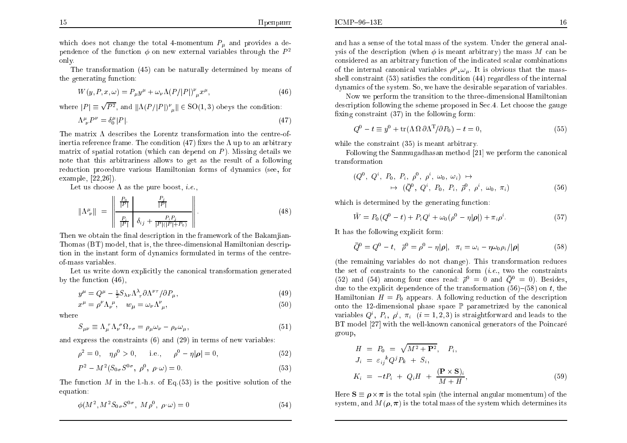which does not change the total 4-momentum  $P_{\mu}$  and provides a dependence of the function  $\phi$  on new external variables through the  $P^2$ only.

The transformation (45) can be naturally determined by means of the generating function:

$$
W(y, P, x, \omega) = P_{\mu}y^{\mu} + \omega_{\nu}\Lambda (P/|P|)^{\nu}_{\mu}x^{\mu}, \qquad (46)
$$

where  $|P| \equiv \sqrt{P^2}$ , and  $\|\Lambda(P/|P|)^{\nu}_{\mu}\| \in SO(1,3)$  obeys the condition:  $\Lambda^{\mu}_{\;\nu}P^{\nu}=\delta^{\mu}_{0}$  $\binom{\mu}{0} |P|$ . (47)

The matrix  $\Lambda$  describes the Lorentz transformation into the centre-ofinertia reference frame. The condition  $(47)$  fixes the  $\Lambda$  up to an arbitrary matrix of spatial rotation (which can depend on  $P$ ). Missing details we note that this arbitrariness allows to ge<sup>t</sup> as the result of a following reduction procedure various Hamiltonian forms of dynamics (see, for example, [22,26]).

Let us choose  $\Lambda$  as the pure boost, *i.e.*,

$$
\|\Lambda^{\mu}_{\ \nu}\| = \left\|\frac{\frac{P_0}{|P|} \qquad \frac{P_j}{|P|}}{\frac{P_i}{|P|} \left\|\delta_{ij} + \frac{P_i P_j}{|P|(|P| + P_0)}\right\|}\right. \tag{48}
$$

Then we obtain the final description in the framework of the Bakamjian- Thomas (BT) model, that is, the three-dimensional Hamiltonian description in the instant form of dynamics formulated in terms of the centre-<br>-f was a spiritles of-massvariables.

Let us write down explicitly the canonical transformation generated by the function (46),

$$
y^{\mu} = Q^{\mu} - \frac{1}{2} S_{\lambda \nu} \Lambda_{\tau}^{\lambda} \partial \Lambda^{\nu \tau} / \partial P_{\mu}, \tag{49}
$$

$$
x^{\mu} = \rho^{\nu} \Lambda_{\nu}^{\ \mu}, \quad w_{\mu} = \omega_{\nu} \Lambda^{\nu}_{\ \mu}, \tag{50}
$$

where

$$
S_{\mu\nu} \equiv \Lambda_{\mu}^{\ \tau} \Lambda_{\nu}^{\ \sigma} \Omega_{\tau\sigma} = \rho_{\mu} \omega_{\nu} - \rho_{\nu} \omega_{\mu},\tag{51}
$$

and express the constraints  $(6)$  and  $(29)$  in terms of new variables:

$$
\rho^2 = 0, \quad \eta \rho^0 > 0, \qquad \text{i.e.,} \qquad \rho^0 - \eta |\rho| = 0,
$$
 (52)

$$
P^2 - M^2 (S_{0\sigma} S^{0\sigma}, \ \rho^0, \ \rho \cdot \omega) = 0. \tag{53}
$$

The function  $M$  in the l.-h.s. of Eq.(53) is the positive solution of the equation: equation:

$$
\phi(M^2, M^2 S_{0\sigma} S^{0\sigma}, M\rho^0, \rho \cdot \omega) = 0 \tag{54}
$$

and has a sense of the total mass of the system. Under the genera<sup>l</sup> analysis of the description (when  $\phi$  is meant arbitrary) the mass M can be considered as an arbitrary function of the indicated scalar combinations considered as an arbitrary function of the indicated scalar combinations of the internal canonical variables  $\rho^\mu, \omega_\mu$ . It is obvious that the massshell constraint (53) satisfies the condition (44) regardless of the internal

dynamics of the system. So, we have the desirable separation of variables.Now we perform the transition to the three-dimensional Hamiltonian<br>suintian following the scheme prepased in Sec.4. Let chaose the gauge description following the scheme proposed in Sec.4. Let choose the gauge fixing constraint  $(37)$  in the following form:

$$
Q^{0} - t \equiv y^{0} + \text{tr}(\Lambda \Omega \partial \Lambda^{T}/\partial P_{0}) - t = 0,
$$
\n(55)

while the constraint (35) is meant arbitrary.

 $ICMP-96-13E$ 

Following the Sanmugadhasan method [21] we perform the canonical transformation

$$
(Q^{0}, Q^{i}, P_{0}, P_{i}, \rho^{0}, \rho^{i}, \omega_{0}, \omega_{i}) \mapsto \mapsto (\bar{Q}^{0}, Q^{i}, P_{0}, P_{i}, \bar{\rho}^{0}, \rho^{i}, \omega_{0}, \pi_{i})
$$
(56)

which is determined by the generating function:

$$
\tilde{W} = P_0(Q^0 - t) + P_i Q^i + \omega_0(\rho^0 - \eta|\rho|) + \pi_i \rho^i.
$$
\n(57)

It has the following explicit form:

$$
\bar{Q}^0 = Q^0 - t, \quad \bar{\rho}^0 = \rho^0 - \eta |\rho|, \quad \pi_i = \omega_i - \eta \omega_0 \rho_i / |\rho| \tag{58}
$$

(the remaining variables do not change). This transformation reduces the set of constraints to the canonical form  $(i.e., two the constraints  
(52) and (54) among four ones, need  $\bar{5}^0$  and  $\bar{O}^0$ .) Reides$ (52) and (54) among four ones read:  $\bar{\rho}^0 = 0$  and  $\bar{Q}^0 = 0$ ). Besides, due to the explicit dependence of the transformation  $(56)-(58)$  on t, the Hamiltonian  $H = P_0$  appears. A following reduction of the description onto the 12-dimensional <sup>p</sup>hase space P parametrized by the canonical variables  $Q^i$ ,  $P_i$ ,  $\rho^i$ ,  $\pi_i$   $(i = 1, 2, 3)$  is straightforward and leads to the BT model [27] with the well-known canonical generators of the Poincaré group,

$$
H = P_0 = \sqrt{M^2 + \mathbf{P}^2}, \quad P_i,
$$
  
\n
$$
J_i = \varepsilon_{ij}{}^k Q^j P_k + S_i,
$$
  
\n
$$
K_i = -tP_i + Q_i H + \frac{(\mathbf{P} \times \mathbf{S})_i}{M + H},
$$
\n(59)

Here  $S \equiv \rho \times \pi$  is the total spin (the internal angular momentum) of the system, and  $M(\boldsymbol{\rho},\boldsymbol{\pi})$  is the total mass of the system which determines its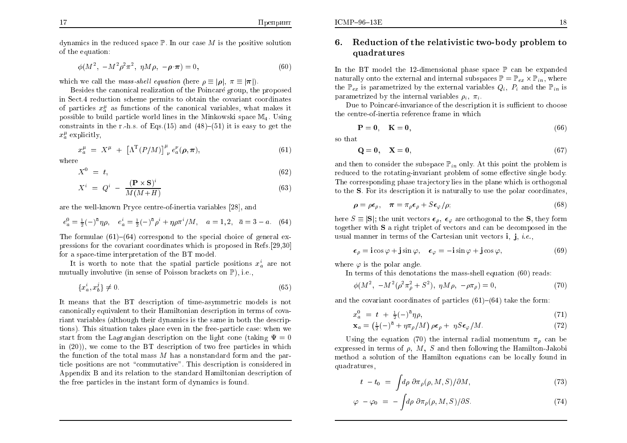dynamics in the reduced space  $\mathbb P.$  In our case  $M$  is the positive solution<br>of the equation: of the equation:

$$
\phi(M^2, -M^2 \rho^2 \pi^2, \ \eta M \rho, -\rho \cdot \pi) = 0,
$$
\n(60)

which we call the *mass-shell equation* (here  $\rho \equiv |\rho|$ ,  $\pi \equiv |\pi|$ ).

 Besides the canonical realization of the Poincare group, the proposed in Sect.4 reduction scheme permits to obtain the co variant coordinatesof particles  $x_i^{\mu}$  as functions of the canonical variables, what makes it possible to build particle world lines in the Minkowski space  $\mathbb{M}_4$ . Using constraints in the r.-h.s. of Eqs.(15) and  $(48)-(51)$  it is easy to get the  $x_a^{\mu}$  explicitly,

$$
x_a^{\mu} = X^{\mu} + \left[\Lambda^{T}(P/M)\right]^{\mu} e_a^{\nu}(\rho, \pi), \tag{61}
$$

where

$$
X^0 = t,\t\t(62)
$$

$$
X^{i} = Q^{i} - \frac{(\mathbf{P} \times \mathbf{S})^{i}}{M(M+H)}
$$
\n(63)

are the well-known Pryce centre-of-inertia variables [28], and

$$
e_a^0 = \frac{1}{2}(-)^{\bar{a}} \eta \rho, \quad e_a^i = \frac{1}{2}(-)^{\bar{a}} \rho^i + \eta \rho \pi^i / M, \quad a = 1, 2, \quad \bar{a} = 3 - a. \tag{64}
$$

The formulae  $(61)-(64)$  correspond to the special choice of general expressions for the covariant coordinates which is proposed in Refs.[29,30] for a space-time interpretation of the BT model.

It is worth to note that the spatial particle positions  $x_a^i$  are not mutually involutive (in sense of Poisson brackets on  $\mathbb{P}$ ), i.e.,

$$
\{x_a^i, x_b^j\} \neq 0. \tag{65}
$$

It means that the BT description of time-asymmetric models is not canonically equivalent to their Hamiltonian description in terms of co variant variables (although their dynamics is the same in both the descriptions). This situation takes <sup>p</sup>lace even in the free-particle case: when westart from the Lagrangian description on the light cone (taking  $\Psi = 0$ <br>in (20)), we same to the PT description of two free porticles in which in (20)), we come to the BT description of two free particles in whic hthe function of the total mass  $M$  has a nonstandard form and the par-<br>ticle positions are not "commutative". This description is considered in ticle positions are not \commutative". This description is considered in Appendix B and its relation to the standard Hamiltonian description of the free particles in the instant form of dynamics is found.

## 6. Reduction of the relativistic two-body problem to  $\alpha$  and ratures quadratures

In the BT model the 12-dimensional <sup>p</sup>hase space P can be expanded naturally onto the external and internal subspaces  $\mathbb{P} = \mathbb{P}_{ex} \times \mathbb{P}_{in}$ , where the  $\mathbb{P}_{ex}$  is parametrized by the external variables  $Q_i$ ,  $P_i$  and the  $\mathbb{P}_{in}$  is parametrized by the internal variables  $\rho_i$ ,  $\pi_i$ .

Due to Poincaré-invariance of the description it is sufficient to choose the centre-of-inertia reference frame in whic h

$$
\mathbf{P} = \mathbf{0}, \quad \mathbf{K} = \mathbf{0}, \tag{66}
$$

so that

 $ICMP-96-13E$ 

$$
\mathbf{Q} = \mathbf{0}, \quad \mathbf{X} = \mathbf{0}, \tag{67}
$$

and then to consider the subspace  $\mathbb{P}_{in}$  only. At this point the problem is reduced to the rotating-invariant problem of some effective single body.<br>The corresponding phase trainateny lies in the plane which is orthogonal The corresponding <sup>p</sup>hase tra jectory lies in the <sup>p</sup>lane whic h is orthogonal to the S. For its description it is naturally to use the polar coordinates,

$$
\rho = \rho \epsilon_{\rho}, \quad \pi = \pi_{\rho} \epsilon_{\rho} + S \epsilon_{\varphi} / \rho; \tag{68}
$$

here  $S \equiv |\mathbf{S}|$ ; the unit vectors  $\boldsymbol{\epsilon}_{\rho}$ ,  $\boldsymbol{\epsilon}_{\varphi}$  are orthogonal to the **S**, they form together with  $S$  a right triplet of vectors and can be decomposed in the usual manner in terms of the Cartesian unit vectors  $\mathbf{i}, \mathbf{j}, \textit{i.e.},$ 

$$
\epsilon_{\rho} = \mathbf{i}\cos\varphi + \mathbf{j}\sin\varphi, \quad \epsilon_{\varphi} = -\mathbf{i}\sin\varphi + \mathbf{j}\cos\varphi, \tag{69}
$$

where  $\varphi$  is the polar angle.

In terms of this denotations the mass-shell equation (60) reads:

$$
\phi(M^2, -M^2(\rho^2 \pi_\rho^2 + S^2), \ \eta M \rho, -\rho \pi_\rho) = 0,\tag{70}
$$

and the covariant coordinates of particles  $(61)-(64)$  take the form:

$$
x_a^0 = t + \frac{1}{2} (-)^{\bar{a}} \eta \rho, \tag{71}
$$

$$
\mathbf{x}_a = \left(\frac{1}{2}(-)^{\bar{a}} + \eta \pi_\rho/M\right) \rho \boldsymbol{\epsilon}_\rho + \eta S \boldsymbol{\epsilon}_\varphi / M. \tag{72}
$$

Using the equation (70) the internal radial momentum  $\pi_{\rho}$  can be expressed in terms of  $\rho$ ,  $M$ ,  $S$  and then following the Hamilton-Jakobi method a solution of the Hamilton equations can be locally found in quadratures,

$$
t - t_0 = \int d\rho \; \partial \pi_\rho(\rho, M, S) / \partial M, \tag{73}
$$

$$
\varphi - \varphi_0 = - \int d\rho \; \partial \pi_\rho(\rho, M, S) / \partial S. \tag{74}
$$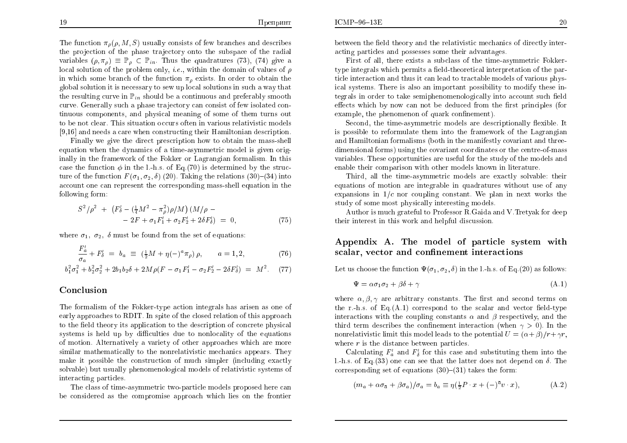The function  $\pi_{\rho}(\rho, M, S)$  usually consists of few branches and describes the projection of the phase trajectory onto the subspace of the radial variables  $(\rho, \pi_{\rho}) \equiv \mathbb{P}_{\rho} \subset \mathbb{P}_{in}$ . Thus the quadratures (73), (74) give a local solution of the problem only, *i.e.*, within the domain of values of  $\rho$ <br>in which some branch of the function  $\tau$ , wither In ender to obtain the in which some branch of the function  $\pi_{\rho}$  exists. In order to obtain the global solution it is necessary to sew up local solutions in such <sup>a</sup> way that the resulting curve in  $\mathbb{P}_{in}$  should be a continuous and preferably smooth curve. Generally such <sup>a</sup> <sup>p</sup>hase tra jectory can consist of few isolated continuous components, and <sup>p</sup>hysical meaning of some of them turns out to be not clear. This situation occurs often in various relativistic models [9,16] and needs <sup>a</sup> care when constructing their Hamiltonian description.

Finally we <sup>g</sup>ive the direct prescription how to obtain the mass-shell equation when the dynamics of <sup>a</sup> time-asymmetric model is <sup>g</sup>iven originally in the framework of the Fokker or Lagrangian formalism. In this case the function  $\phi$  in the l.-h.s. of Eq.(70) is determined by the structure of the function  $F(\sigma_1, \sigma_2, \delta)$  (20). Taking the relations (30)–(34) into account one can represent the corresponding mass-shell equation in the following form:

$$
S^{2}/\rho^{2} + (F'_{\delta} - (\frac{1}{4}M^{2} - \pi_{\rho}^{2})\rho/M) (M/\rho - 2F + \sigma_{1}F'_{1} + \sigma_{2}F'_{2} + 2\delta F'_{\delta}) = 0,
$$
 (75)

where  $\sigma_1$ ,  $\sigma_2$ ,  $\delta$  must be found from the set of equations:

$$
\frac{F_a'}{\sigma_a} + F_b' = b_a \equiv (\frac{1}{2}M + \eta(-)^a \pi_\rho) \rho, \qquad a = 1, 2,
$$
 (76)

$$
b_1^2 \sigma_1^2 + b_2^2 \sigma_2^2 + 2b_1 b_2 \delta + 2M \rho (F - \sigma_1 F_1' - \sigma_2 F_2' - 2\delta F_2') = M^2. \tag{77}
$$

## Conclusion

The formalism of the Fokker-type action integrals has arisen as one of<br>cash exames shorts PDIT In with of the short polation of this engage sh early approaches to RDIT. In spite of the closed relation of this approach to the field theory its application to the description of concrete physical systems is held up by difficulties due to nonlocality of the equations of motion. Alternatively <sup>a</sup> variety of other approaches which are more similar mathematically to the nonrelativistic mechanics appears. They make it possible the construction of much simpler (including exactly solvable) but usually <sup>p</sup>henomenological models of relativistic systems of interacting particles.

The class of time-asymmetric two-particle models proposed here can be considered as the compromise approach which lies on the frontier between the field theory and the relativistic mechanics of directly interacting particles and possesses some their advantages.

First of all, there exists <sup>a</sup> subclass of the time-asymmetric Fokker- $\tt{type}$  integrals which permits a field-theoretical interpretation of the particle interaction and thus it can lead to tractable models of various <sup>p</sup>hysical systems. There is also an important possibility to modify these integrals in order to take semiphenomenologically into account such field effects which by now can not be deduced from the first principles (for<br>example the phasemanan of sucely confinement) example, the phenomenon of quark confinement).

 $Second, the time-asymmetric models are descriptionally flexible. It$ is possible to reformulate them into the framework of the Lagrangian<br>and Hamiltonian formalisms (both in the manifostly correspondent of three and Hamiltonian formalisms (both in the manifestly covariant and threedimensional forms) using the covariant coordinates or the centre-of-mass variables. These opportunities are useful for the study of the models andenable their comparison with other models known in literature.

Third, all the time-asymmetric models are exactly solvable: their equations of motion are integrable in quadratures without use of any expansions in  $1/c$  nor coupling constant. We plan in next works the study of some most <sup>p</sup>hysically interesting models.

Author is much grateful to Professor R.Gaida and V.Tretyak for deep their interest in this work and helpful discussion.

## Appendix A. The model of particle system with<br>scalar vector and confinement interactions scalar, vector and confinement interactions

Let us choose the function  $\Psi(\sigma_1, \sigma_2, \delta)$  in the l.-h.s. of Eq.(20) as follows:

$$
\Psi = \alpha \sigma_1 \sigma_2 + \beta \delta + \gamma \tag{A.1}
$$

where  $\alpha, \beta, \gamma$  are arbitrary constants. The first and second terms on the r.-h.s. of Eq. $(A.1)$  correspond to the scalar and vector field-type interactions with the coupling constants  $\alpha$  and  $\beta$  respectively, and the third term describes the confinement interaction (when  $\gamma > 0$ ). In the nonrelativistic limit this model leads to the potential  $U = (\alpha + \beta)/r + \gamma r$ , where  $r$  is the distance between particles.

Calculating  $F_a'$  and  $F_b'$  for this case and substituting them into the l.-h.s. of Eq.(33) one can see that the latter does not depend on  $\delta$ . The corresponding set of equations  $(30){-}(31)$  takes the form:

$$
(m_a + \alpha \sigma_{\bar{a}} + \beta \sigma_a)/\sigma_a = b_a \equiv \eta(\frac{1}{2}P \cdot x + (-)^{\bar{a}}v \cdot x), \tag{A.2}
$$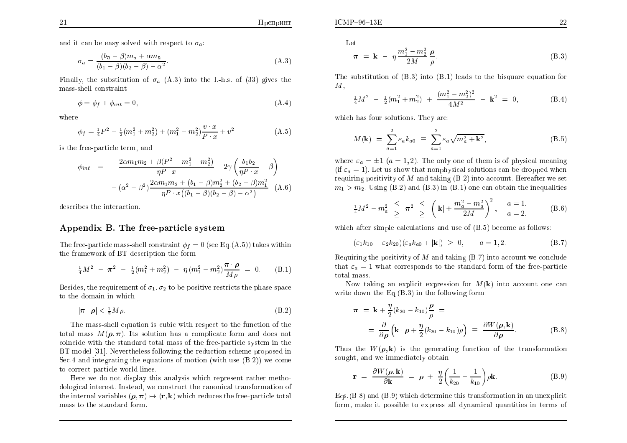and it can be easy solved with respect to  $\sigma_a$ :

$$
\sigma_a = \frac{(b_{\bar{a}} - \beta)m_a + \alpha m_{\bar{a}}}{(b_1 - \beta)(b_2 - \beta) - \alpha^2}.
$$
\n(A.3)

Finally, the substitution of  $\sigma_a$  (A.3) into the l.-h.s. of (33) gives the mass-shell constraint

$$
\phi = \phi_f + \phi_{int} = 0,\tag{A.4}
$$

where

$$
\phi_f = \frac{1}{4}P^2 - \frac{1}{2}(m_1^2 + m_2^2) + (m_1^2 - m_2^2)\frac{v \cdot x}{P \cdot x} + v^2
$$
\n(A.5)

is the free-particle term, and

$$
\phi_{int} = -\frac{2\alpha m_1 m_2 + \beta (P^2 - m_1^2 - m_2^2)}{\eta P \cdot x} - 2\gamma \left(\frac{b_1 b_2}{\eta P \cdot x} - \beta\right) - \frac{2\alpha m_1 m_2 + (b_1 - \beta) m_2^2 + (b_2 - \beta) m_1^2}{\eta P \cdot x \left((b_1 - \beta)(b_2 - \beta) - \alpha^2\right)} \tag{A.6}
$$

describes the interaction.

## Appendix B. The free-particle system

The free-particle mass-shell constraint  $\phi_f = 0$  (see Eq.(A.5)) takes within the framework of BT description the form

$$
\frac{1}{4}M^2 - \pi^2 - \frac{1}{2}(m_1^2 + m_2^2) - \eta (m_1^2 - m_2^2) \frac{\pi \cdot \rho}{M \rho} = 0. \quad (B.1)
$$

Besides, the requirement of  $\sigma_1, \sigma_2$  to be positive restricts the phase space to the domain in whic h

$$
|\boldsymbol{\pi} \cdot \boldsymbol{\rho}| < \frac{1}{2} M \rho. \tag{B.2}
$$

The mass-shell equation is cubic with respect to the function of the total mass  $M(\rho, \pi)$ . Its solution has a complicate form and does not<br>critically its that the standard total mass of the face noticely surface in the coincide with the standard total mass of the free-particle system in the<br>PT used it [21]. Nevertheless fells, in the reduction achores never and in BT model [31]. Nevertheless following the reduction scheme proposed in Sec.4 and integrating the equations of motion (with use (B.2)) we come to correct particle world lines.

Here we do not display this analysis which represent rather metho dological interest. Instead, we construct the canonical transformation of the internal variables  $(\rho, \pi) \mapsto (\mathbf{r}, \mathbf{k})$  which reduces the free-particle total<br>mass to the standard form mass to the standard form.

Let

$$
\pi = \mathbf{k} - \eta \frac{m_1^2 - m_2^2}{2M} \frac{\rho}{\rho}.
$$
 (B.3)

The substitution of (B.3) into (B.1) leads to the bisquare equation for  $M$ ,

$$
\frac{1}{4}M^2 - \frac{1}{2}(m_1^2 + m_2^2) + \frac{(m_1^2 - m_2^2)^2}{4M^2} - \mathbf{k}^2 = 0, \tag{B.4}
$$

which has four solutions. They are:

$$
M(\mathbf{k}) = \sum_{a=1}^{2} \varepsilon_a k_{a0} \equiv \sum_{a=1}^{2} \varepsilon_a \sqrt{m_a^2 + \mathbf{k}^2},
$$
 (B.5)

where  $\varepsilon_a = \pm 1$   $(a = 1, 2)$ . The only one of them is of physical meaning<br>(if  $\varepsilon_a = 1$ ). Let us show that nonphysical solutions can be dreamed when (if  $\varepsilon_a = 1$ ). Let us show that nonphysical solutions can be dropped when requiring positivity of M and taking  $(B.2)$  into account. Hereafter we set<br> $m_i > m_i$ . Using  $(B.2)$  and  $(B.3)$  in  $(B.1)$  and can obtain the inequalities  $m_1 > m_2$ . Using (B.2) and (B.3) in (B.1) one can obtain the inequalities

$$
\frac{1}{4}M^2 - m_a^2 \geq \pi^2 \geq \left(|\mathbf{k}| + \frac{m_a^2 - m_{\bar{a}}^2}{2M}\right)^2, \quad \frac{a = 1}{a = 2},
$$
 (B.6)

which after simple calculations and use of (B.5) become as follows:

$$
(\varepsilon_1 k_{10} - \varepsilon_2 k_{20}) (\varepsilon_a k_{a0} + |\mathbf{k}|) \geq 0, \qquad a = 1, 2. \tag{B.7}
$$

Requiring the positivity of M and taking  $(B.7)$  into account we conclude<br>that  $\varepsilon_0 = 1$  what corresponds to the standard form of the free particle that  $\varepsilon_a = 1$  what corresponds to the standard form of the free-particle total mass.

Now taking an explicit expression for  $M(\mathbf{k})$  into account one can write down the Eq.(B.3) in the following form:

$$
\pi = \mathbf{k} + \frac{\eta}{2} (k_{20} - k_{10}) \frac{\rho}{\rho} =
$$
  
=  $\frac{\partial}{\partial \rho} (\mathbf{k} \cdot \boldsymbol{\rho} + \frac{\eta}{2} (k_{20} - k_{10}) \rho) \equiv \frac{\partial W(\boldsymbol{\rho}, \mathbf{k})}{\partial \rho}.$  (B.8)

Thus the  $W(\rho, \mathbf{k})$  is the generating function of the transformation sought, and we immediately obtain:

$$
\mathbf{r} = \frac{\partial W(\rho, \mathbf{k})}{\partial \mathbf{k}} = \rho + \frac{\eta}{2} \left( \frac{1}{k_{20}} - \frac{1}{k_{10}} \right) \rho \mathbf{k}.
$$
 (B.9)

Eqs.(B.8) and (B.9) whic h determine this transformation in an unexplicit form, make it possible to express all dynamical quantities in terms of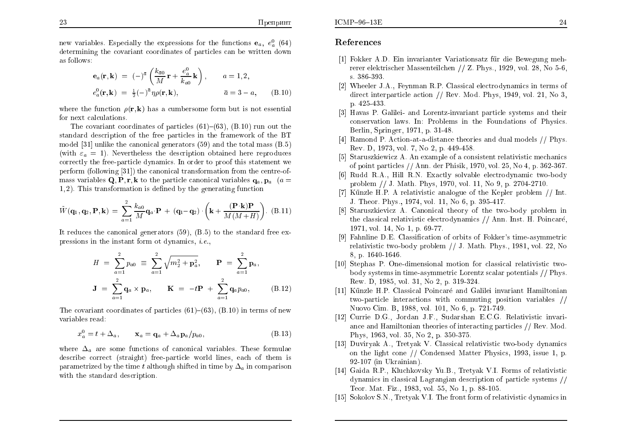new variables. Especially the expressions for the functions  $\mathbf{e}_a$ ,  $e_a^0$  (64) determining the co variant coordinates of particles can be written down as follows:

$$
\begin{array}{rcl}\n\mathbf{e}_a(\mathbf{r}, \mathbf{k}) & = & (-)^{\bar{a}} \left( \frac{k_{\bar{a}0}}{M} \mathbf{r} + \frac{e_a^0}{k_{a0}} \mathbf{k} \right), \qquad a = 1, 2, \\
e_a^0(\mathbf{r}, \mathbf{k}) & = & \frac{1}{2} (-)^{\bar{a}} \eta \rho(\mathbf{r}, \mathbf{k}), \qquad \qquad \bar{a} = 3 - a, \qquad \text{(B.10)}\n\end{array}
$$

where the function  $\rho(\mathbf{r}, \mathbf{k})$  has a cumbersome form but is not essential<br>for next esteritions for next calculations.

The covariant coordinates of particles  $(61)-(63)$ ,  $(B.10)$  run out the standard description of the free particles in the framework of the BT model [31] unlike the canonical generators (59) and the total mass (B.5) (with  $\varepsilon_a = 1$ ). Nevertheless the description obtained here reproduces correctly the free-particle dynamics. In order to proof this statement we perform (following [31]) the canonical transformation from the centre-of-<br>we see a suishles  $\Omega$ ,  $\mathbf{R}$  is the section considered anishles in  $\mathbf{r}$ mass variables  $\mathbf{Q}, \mathbf{P}, \mathbf{r}, \mathbf{k}$  to the particle canonical variables  $\mathbf{q}_a, \mathbf{p}_a$  ( $a =$ 1, 2). This transformation is defined by the generating function

$$
\tilde{W}(\mathbf{q}_1, \mathbf{q}_2, \mathbf{P}, \mathbf{k}) = \sum_{a=1}^{2} \frac{k_{a0}}{M} \mathbf{q}_a \cdot \mathbf{P} + (\mathbf{q}_1 - \mathbf{q}_2) \cdot \left( \mathbf{k} + \frac{(\mathbf{P} \cdot \mathbf{k}) \mathbf{P}}{M(M+H)} \right). (B.11)
$$

It reduces the canonical generators (59), (B.5) to the standard free expressions in the instant form ot dynamics, *i.e.*,

$$
H = \sum_{a=1}^{2} p_{a0} \equiv \sum_{a=1}^{2} \sqrt{m_2^2 + \mathbf{p}_a^2}, \quad \mathbf{P} = \sum_{a=1}^{2} \mathbf{p}_a,
$$
  

$$
\mathbf{J} = \sum_{a=1}^{2} \mathbf{q}_a \times \mathbf{p}_a, \quad \mathbf{K} = -t\mathbf{P} + \sum_{a=1}^{2} \mathbf{q}_a p_{a0}, \quad (B.12)
$$

The covariant coordinates of particles  $(61){-}(63)$ ,  $(B.10)$  in terms of new variables read:

$$
x_a^0 = t + \Delta_a, \qquad \mathbf{x}_a = \mathbf{q}_a + \Delta_a \mathbf{p}_a / p_{a0}, \tag{B.13}
$$

where  $\Delta_a$  are some functions of canonical variables. These formulae describe correct (straight) free-particle world lines, each of them is<br>nonomotivized by the time talthough shifted in time by A, in companies parametrized by the time  $t$  although shifted in time by  $\Delta_a$  in comparison with the standard description.

## References

 $ICMP-96-13E$ 

- [1] Fokker A.D. Ein invarianter Variationsatz für die Bewegung meh rerer elektrischer Massenteilchen // Z. Phys., 1929, vol. 28, No 5-6, s. 386-393.
- [2] Wheeler J.A., Feynman R.P. Classical electrodynamics in terms of direct interparticle action // Rev. Mod. Phys, 1949, vol. 21, No 3, p. 425-433.
- [3] Havas P. Galilei- and Lorentz-invariant particle systems and their conservation laws. In: Problems in the Foundations of Physics. Berlin, Springer, 1971, p. 31-48.
- [4] RamondP. Action-at-a-distance theories and dual models // Phys. Rev. D, 1973, vol. 7, No 2, p. 449-458.
- [5] Staruszkiewicz A. An example of a consistent relativistic mechanics of point particles // Ann. der Phisik, 1970, vol. 25, No 4, p. 362-367.
- [6] Rudd R.A., Hill R.N. Exactly solvable electrodynamic two-body problem // J. Math. Phys, 1970, vol. 11, No 9, p. 2704-2710.<br>Künzle H.P. A relativistie anglesus of the Kepler problem
- [7] Künzle H.P. A relativistic analogue of the Kepler problem  $//$  Int. J. Theor. Phys., 1974, vol. 11, No 6, p. 395-417.
- [8] Staruszkievicz A. Canonical theory of the two-body problem in<br>the classical polativistic electrodynamics  $\ell/\Lambda$ nn Inst. H. Beineará the classical relativistic electrodynamics // Ann. Inst. H. Poincaré, 1971, vol. 14, No 1, p. 69-77.
- [9]Fahnline D.E. Classication of orbits of Fokker's time-asymmetricrelativistic two-body problem // J. Math. Phys., 1981, vol. 22, No<br>8. p. 1640-1646 8, p. 1640-1646.
- [10] StephasP. One-dimensional motion for classical relativistic two body systems in time-asymmetric Lorentz scalar potentials // Phys. Rew. D, 1985, vol. 31, No 2, p. 319-324.
- [11] Künzle H.P. Classical Poincaré and Galilei invariant Hamiltonian two-particle interactions with commuting position variables //Nuovo Cim. B, 1988, vol. 101, No 6, p. 721-749.
- [12] Currie D.G., Jordan J.F., Sudarshan E.C.G. Relativistic in variance and Hamiltonian theories of interacting particles // Rev. Mod. Phys, 1963, vol. 35, No 2, p. 350-375.
- [13] Duviryak A., Tretyak V. Classical relativistic two-body dynamics on the light cone // Condensed Matter Physics, 1993, issue 1, p. 92-107 (in Ukrainian).
- [14] Gaida R.P., Kluchkovsky Yu.B., Tretyak V.I. Forms of relativistic dynamics in classical Lagrangian description of particle systems // Teor. Mat. Fiz., 1983, vol. 55, No 1, p. 88-105.
- [15] Sokolov S.N., Tretyak V.I. The front form of relativistic dynamics in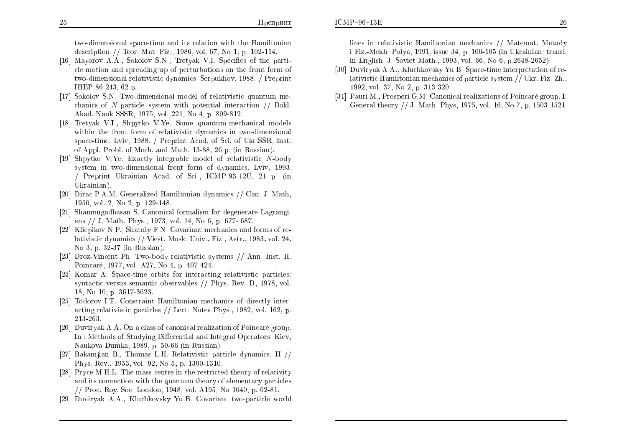$ICMP-96-13E$ 

two-dimensional space-time and its relation with the Hamiltonian description // Teor. Mat. Fiz., 1986, vol. 67, No 1, p. 102-114.

- [16] Mayorov A.A., Sokolov S.N., Tretyak V.I. Specifics of the particle motion and spreading up of perturbations on the front form of<br>two dimensional relativistic dynamics, Sanulthay, 1988. ( Drapsint two-dimensional relativistic dynamics. Serpukhov, 1988. / Preprint IHEP 86-243, <sup>62</sup> p.
- [17] Sokolov S.N. Two-dimensional model of relativistic quantum me-<br>chanticle of N particle quantum with potential interaction  $\ell$ . chanics of N-particle system with potential interaction  $//$  Dokl.<br>Also Naple SSS 1975, rel 221 Na 4 n 800,812 Akad. Nauk SSSR, 1975, vol. 221, No 4, p. 809-812.
- [18] Tretyak V.I., Shpytko V.Ye. Some quantum-mechanical models within the front form of relativistic dynamics in two-dimensional<br>space time, Lyiu, 1988, / Draprint Aacd, of Sci, of Ulp SSD, Inst. space-time. Lviv, 1988. / Preprint Acad. of Sci. of Ukr.SSR, Inst. of Appl. Probl. of Mech. and Math. 13-88, <sup>26</sup> p. (in Russian).
- [19] Shpytko V.Ye. Exactly integrable model of relativistic N-body system in two-dimensional front form of dynamics. Lviv, 1993.<br>Concernity Ulusinian Assal of Sci. JOMD 92.1911, 21, p. (in / Preprint Ukrainian Acad. of Sci., ICMP-93-12U, <sup>21</sup> p. (in Ukrainian).
- [20] Dirac P.A.M. Generalized Hamiltonian dynamics // Can. J. Math, 1950, vol. 2, No 2, p. 129-148.
- [21] Shanmugadhasan S. Canonical formalism for degenerate Lagrangi-<br> $\frac{1}{2}$  and  $\frac{1}{2}$  and  $\frac{1}{2}$  and  $\frac{1}{2}$  and  $\frac{1}{2}$  and  $\frac{1}{2}$  and  $\frac{1}{2}$  and  $\frac{1}{2}$  and  $\frac{1}{2}$  and  $\frac{1}{2}$  and  $\frac{1}{2}$  and ans // J. Math. Phys., 1973, vol. 14, No 6, p. 677- 687.
- [22] Kliepikov N.P., Shatniy F.N. Covariant mechanics and forms of relativistic dynamics // Viest. Mosk. Univ., Fiz., Astr., 1983, vol. 24, No 3, p. 32-37 (in Russian).
- [23] Droz-Vincent Ph. Two-body relativistic systems // Ann. Inst. H. Poincare, 1977, vol. A27, No 4, p. 407-424.
- [24] Komar A. Space-time orbits for interacting relativistic particles: syntactic versus semantic observables // Phys. Rev. D, 1978, vol. 18, No 10, p. 3617-3623.
- [25] Todorov I.T. Constraint Hamiltonian mechanics of directly interacting relativistic particles // Lect. Notes Phys., 1982, vol. 162, p. 213-263.
- [26] Duviryak A.A. On <sup>a</sup> class of canonical realization of Poincare group. In : Methods of Studying Differential and Integral Operators. Kiev, Naukova Dumka, 1989, p. 59-66 (in Russian).
- [27] Bakamjian B., Thomas L.H. Relativistic particle dynamics. II // Phys. Rev., 1953, vol. 92, No 5, p. 1300-1310.
- [28] Pryce M.H.L. The mass-centre in the restricted theory of relativity and its connection with the quantum theory of elementary particles<br> $\frac{1}{2}$  Press, Pex See, Landen, 1948, rel., 4195, Ne, 1949, r., 69, 81 // Proc. Roy. Soc. London, 1948, vol. A195, No 1040, p. 62-81.
- [29] Duviryak A.A., Kluchkovsky Yu.B. Covariant two-particle world

lines in relativistic Hamiltonian mechanics // Matemat. Metody i Fiz.-Mekh. Polya, 1991, issue 34, p. 100-105 (in Ukrainian; transl. in English: J. Soviet Math., 1993, vol. 66, No 6, p.2648-2652).

- [30] Duviryak A.A., Kluchkovsky Yu.B. Space-time interpretation of relativistic Hamiltonian mechanics of particle system // Ukr. Fiz. Zh.,<br>1002. vel. 37. No.2. p. 313.390. 1992, vol. 37, No 2, p. 313-320.
- [31] Pauri M., Prosperi G.M. Canonical realizations of Poincare group. I. General theory // J. Math. Phys, 1975, vol. 16, No 7, p. 1503-1521.